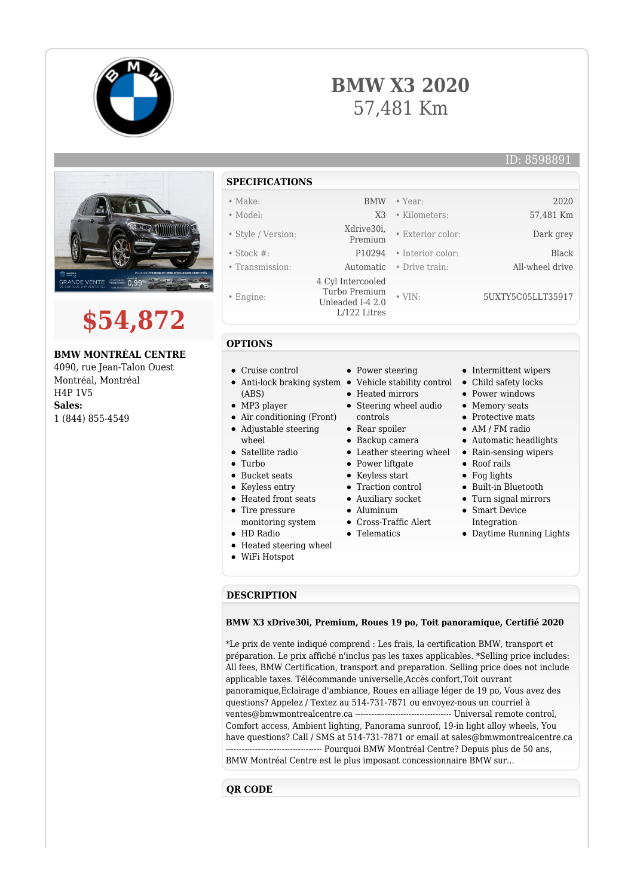



ID: 8598891



# **\$54,872**

## **BMW MONTRÉAL CENTRE**

4090, rue Jean-Talon Ouest Montréal, Montréal H4P 1V5 **Sales:** 1 (844) 855-4549

# **SPECIFICATIONS**

- Make: BMW Year: 2020
- Model: X3 Kilometers: 57,481 Km
- Style / Version: Xdrive30i,
- 
- 
- Engine:
- 

#### **OPTIONS**

- Cruise control
- Anti-lock braking system Vehicle stability control Child safety locks
- (ABS)
- MP3 player
- Air conditioning (Front) Adjustable steering
- wheel
- Satellite radio
- Turbo
- 
- Bucket seats
- Keyless entry Heated front seats
- Tire pressure
- monitoring system
- HD Radio
- Heated steering wheel
- WiFi Hotspot
- 
- 
- Heated mirrors
- Steering wheel audio
	- controls
- Rear spoiler
- Backup camera
- 
- Power liftgate
- Keyless start
- Traction control
- Auxiliary socket
- Aluminum
- Cross-Traffic Alert
- Telematics
- 
- -
	-
	-
	- Integration
	- Daytime Running Lights

#### **DESCRIPTION**

#### **BMW X3 xDrive30i, Premium, Roues 19 po, Toit panoramique, Certifié 2020**

\*Le prix de vente indiqué comprend : Les frais, la certification BMW, transport et préparation. Le prix affiché n'inclus pas les taxes applicables. \*Selling price includes: All fees, BMW Certification, transport and preparation. Selling price does not include applicable taxes. Télécommande universelle,Accès confort,Toit ouvrant panoramique,Éclairage d'ambiance, Roues en alliage léger de 19 po, Vous avez des questions? Appelez / Textez au 514-731-7871 ou envoyez-nous un courriel à ventes@bmwmontrealcentre.ca ------------------------------------ Universal remote control, Comfort access, Ambient lighting, Panorama sunroof, 19-in light alloy wheels, You have questions? Call / SMS at 514-731-7871 or email at sales@bmwmontrealcentre.ca ------------------------------------ Pourquoi BMW Montréal Centre? Depuis plus de 50 ans, BMW Montréal Centre est le plus imposant concessionnaire BMW sur...

### **QR CODE**

- Stock #: P10294 Interior color: Black • Transmission: Automatic • Drive train: All-wheel drive
	-
- 
- Turbo Premium Unleaded I-4 2.0 L/122 Litres • VIN: 5UXTY5C05LLT35917

4 Cyl Intercooled

- 
- Power steering
	-
	- - - Protective mats
				- AM / FM radio

• Exterior color: Dark grey

Automatic headlights

• Intermittent wipers

• Power windows • Memory seats

- Leather steering wheel Rain-sensing wipers
	- Roof rails
	- Fog lights
	- Built-in Bluetooth
	- Turn signal mirrors
	- Smart Device
	-
- 
- 
-